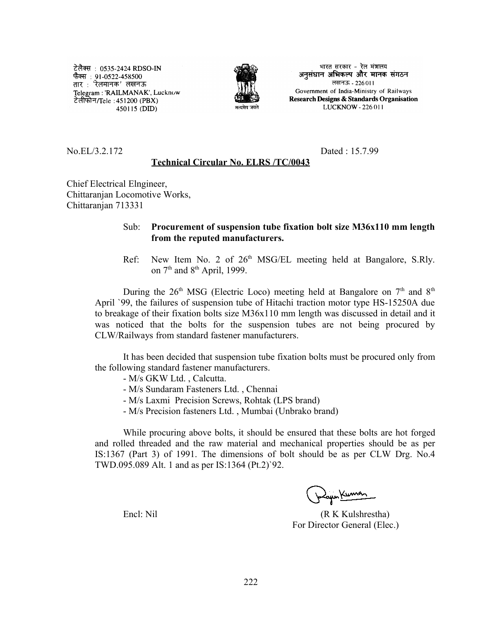टेलैक्स : 0535-2424 RDSO-IN फैक्स : 91-0522-458500 तार : 'रेलमानक' लखनऊ Telegram: 'RAILMANAK', Lucknow टेलीफोन/Tele : 451200 (PBX) 450115 (DID)



भारत सरकार - रेल मंत्रालय अनुसंधान अभिकल्प और मानक संगठन लखनऊ - 226011 Government of India-Ministry of Railways Research Designs & Standards Organisation LUCKNOW - 226 011

No.EL/3.2.172 Dated : 15.7.99

## **Technical Circular No. ELRS /TC/0043**

Chief Electrical Elngineer, Chittaranjan Locomotive Works, Chittaranjan 713331

## Sub: **Procurement of suspension tube fixation bolt size M36x110 mm length from the reputed manufacturers.**

Ref: New Item No. 2 of  $26<sup>th</sup>$  MSG/EL meeting held at Bangalore, S.Rly. on  $7<sup>th</sup>$  and  $8<sup>th</sup>$  April, 1999.

During the  $26<sup>th</sup> MSG$  (Electric Loco) meeting held at Bangalore on  $7<sup>th</sup>$  and  $8<sup>th</sup>$ April `99, the failures of suspension tube of Hitachi traction motor type HS-15250A due to breakage of their fixation bolts size M36x110 mm length was discussed in detail and it was noticed that the bolts for the suspension tubes are not being procured by CLW/Railways from standard fastener manufacturers.

It has been decided that suspension tube fixation bolts must be procured only from the following standard fastener manufacturers.

- M/s GKW Ltd. , Calcutta.
- M/s Sundaram Fasteners Ltd. , Chennai
- M/s Laxmi Precision Screws, Rohtak (LPS brand)
- M/s Precision fasteners Ltd. , Mumbai (Unbrako brand)

While procuring above bolts, it should be ensured that these bolts are hot forged and rolled threaded and the raw material and mechanical properties should be as per IS:1367 (Part 3) of 1991. The dimensions of bolt should be as per CLW Drg. No.4 TWD.095.089 Alt. 1 and as per IS:1364 (Pt.2)`92.

Encl: Nil (R K Kulshrestha) For Director General (Elec.)